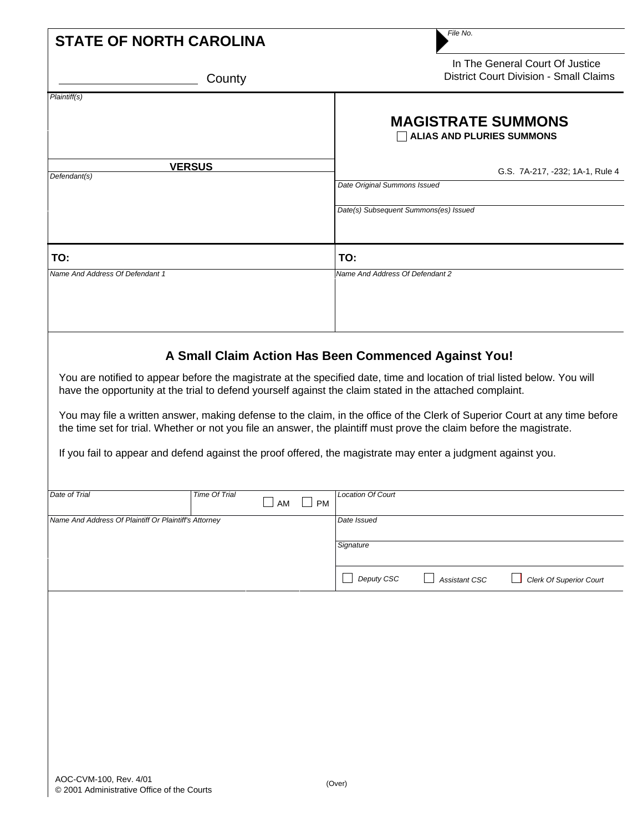|                                                       |                                  | File No.                                                                                                                                                                                                                                                                                                                                                                                                                                                                                                                                                                                                     |  |
|-------------------------------------------------------|----------------------------------|--------------------------------------------------------------------------------------------------------------------------------------------------------------------------------------------------------------------------------------------------------------------------------------------------------------------------------------------------------------------------------------------------------------------------------------------------------------------------------------------------------------------------------------------------------------------------------------------------------------|--|
| <b>STATE OF NORTH CAROLINA</b>                        |                                  |                                                                                                                                                                                                                                                                                                                                                                                                                                                                                                                                                                                                              |  |
|                                                       | County                           | In The General Court Of Justice<br><b>District Court Division - Small Claims</b>                                                                                                                                                                                                                                                                                                                                                                                                                                                                                                                             |  |
| Plaintiff(s)                                          |                                  |                                                                                                                                                                                                                                                                                                                                                                                                                                                                                                                                                                                                              |  |
|                                                       |                                  | <b>MAGISTRATE SUMMONS</b><br><b>ALIAS AND PLURIES SUMMONS</b>                                                                                                                                                                                                                                                                                                                                                                                                                                                                                                                                                |  |
| <b>VERSUS</b>                                         |                                  | G.S. 7A-217, -232; 1A-1, Rule 4                                                                                                                                                                                                                                                                                                                                                                                                                                                                                                                                                                              |  |
| Defendant(s)                                          |                                  | Date Original Summons Issued                                                                                                                                                                                                                                                                                                                                                                                                                                                                                                                                                                                 |  |
|                                                       |                                  | Date(s) Subsequent Summons(es) Issued                                                                                                                                                                                                                                                                                                                                                                                                                                                                                                                                                                        |  |
| TO:                                                   |                                  | TO:                                                                                                                                                                                                                                                                                                                                                                                                                                                                                                                                                                                                          |  |
| Name And Address Of Defendant 1                       |                                  | Name And Address Of Defendant 2                                                                                                                                                                                                                                                                                                                                                                                                                                                                                                                                                                              |  |
|                                                       |                                  |                                                                                                                                                                                                                                                                                                                                                                                                                                                                                                                                                                                                              |  |
|                                                       |                                  | You are notified to appear before the magistrate at the specified date, time and location of trial listed below. You will<br>have the opportunity at the trial to defend yourself against the claim stated in the attached complaint.<br>You may file a written answer, making defense to the claim, in the office of the Clerk of Superior Court at any time before<br>the time set for trial. Whether or not you file an answer, the plaintiff must prove the claim before the magistrate.<br>If you fail to appear and defend against the proof offered, the magistrate may enter a judgment against you. |  |
| Date of Trial                                         | Time Of Trial<br><b>PM</b><br>AM | Location Of Court                                                                                                                                                                                                                                                                                                                                                                                                                                                                                                                                                                                            |  |
| Name And Address Of Plaintiff Or Plaintiff's Attorney |                                  | Date Issued                                                                                                                                                                                                                                                                                                                                                                                                                                                                                                                                                                                                  |  |
|                                                       |                                  | Signature                                                                                                                                                                                                                                                                                                                                                                                                                                                                                                                                                                                                    |  |
|                                                       |                                  | Deputy CSC<br>Assistant CSC<br><b>Clerk Of Superior Court</b>                                                                                                                                                                                                                                                                                                                                                                                                                                                                                                                                                |  |
|                                                       |                                  |                                                                                                                                                                                                                                                                                                                                                                                                                                                                                                                                                                                                              |  |